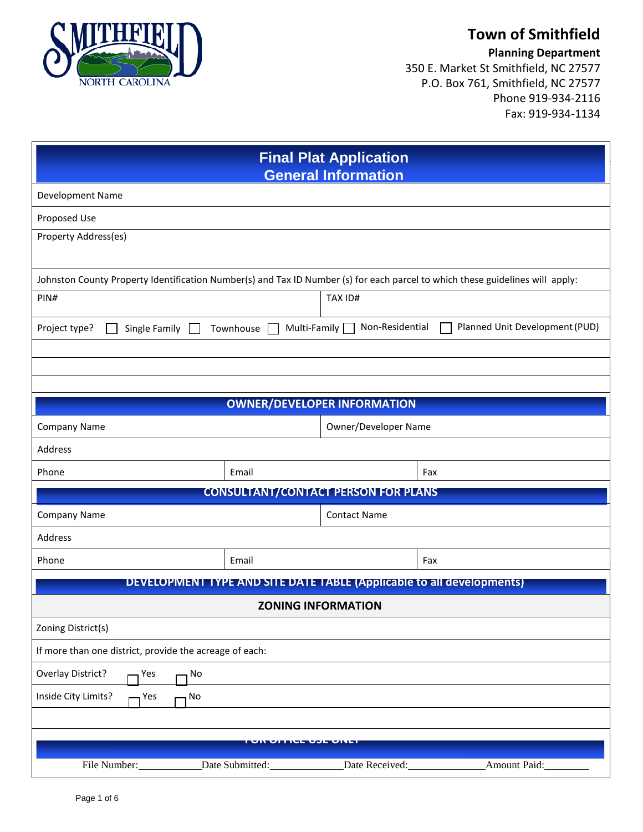

## **Town of Smithfield**

**Planning Department**

350 E. Market St Smithfield, NC 27577 P.O. Box 761, Smithfield, NC 27577 Phone 919-934-2116 Fax: 919-934-1134

| <b>Final Plat Application</b><br><b>General Information</b>                                                                   |                                            |                                 |                                                                              |
|-------------------------------------------------------------------------------------------------------------------------------|--------------------------------------------|---------------------------------|------------------------------------------------------------------------------|
| Development Name                                                                                                              |                                            |                                 |                                                                              |
| Proposed Use                                                                                                                  |                                            |                                 |                                                                              |
| Property Address(es)                                                                                                          |                                            |                                 |                                                                              |
|                                                                                                                               |                                            |                                 |                                                                              |
| Johnston County Property Identification Number(s) and Tax ID Number (s) for each parcel to which these guidelines will apply: |                                            |                                 |                                                                              |
| PIN#                                                                                                                          |                                            | TAX ID#                         |                                                                              |
| Project type?<br>Single Family                                                                                                | Townhouse                                  | Non-Residential<br>Multi-Family | Planned Unit Development (PUD)                                               |
|                                                                                                                               |                                            |                                 |                                                                              |
|                                                                                                                               |                                            |                                 |                                                                              |
| <b>OWNER/DEVELOPER INFORMATION</b>                                                                                            |                                            |                                 |                                                                              |
| <b>Company Name</b>                                                                                                           |                                            | Owner/Developer Name            |                                                                              |
| Address                                                                                                                       |                                            |                                 |                                                                              |
| Phone                                                                                                                         | Email                                      |                                 | Fax                                                                          |
|                                                                                                                               | <b>CONSULTANT/CONTACT PERSON FOR PLANS</b> |                                 |                                                                              |
| Company Name<br><b>Contact Name</b>                                                                                           |                                            |                                 |                                                                              |
| Address                                                                                                                       |                                            |                                 |                                                                              |
| Phone                                                                                                                         | Email                                      |                                 | Fax                                                                          |
|                                                                                                                               |                                            |                                 | <b>DEVELOPMENT TYPE AND SITE DATE TABLE (Applicable to all developments)</b> |
| <b>ZONING INFORMATION</b>                                                                                                     |                                            |                                 |                                                                              |
| Zoning District(s)                                                                                                            |                                            |                                 |                                                                              |
| If more than one district, provide the acreage of each:                                                                       |                                            |                                 |                                                                              |
| Overlay District?<br>No<br>Yes                                                                                                |                                            |                                 |                                                                              |
| Inside City Limits?<br>Yes<br>No                                                                                              |                                            |                                 |                                                                              |
|                                                                                                                               |                                            |                                 |                                                                              |
|                                                                                                                               |                                            |                                 |                                                                              |
| File Number:                                                                                                                  | Date Submitted:                            | Date Received:                  | Amount Paid:                                                                 |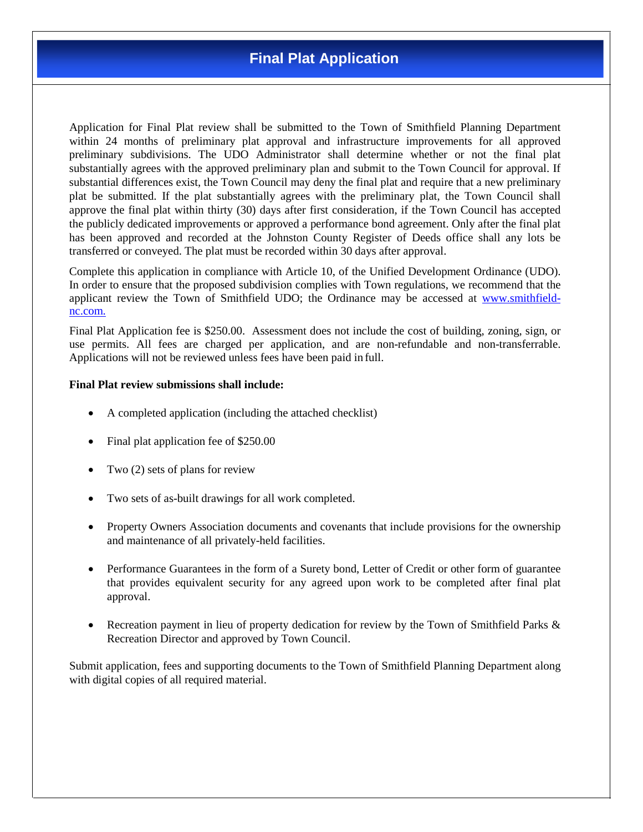Application for Final Plat review shall be submitted to the Town of Smithfield Planning Department within 24 months of preliminary plat approval and infrastructure improvements for all approved preliminary subdivisions. The UDO Administrator shall determine whether or not the final plat substantially agrees with the approved preliminary plan and submit to the Town Council for approval. If substantial differences exist, the Town Council may deny the final plat and require that a new preliminary plat be submitted. If the plat substantially agrees with the preliminary plat, the Town Council shall approve the final plat within thirty (30) days after first consideration, if the Town Council has accepted the publicly dedicated improvements or approved a performance bond agreement. Only after the final plat has been approved and recorded at the Johnston County Register of Deeds office shall any lots be transferred or conveyed. The plat must be recorded within 30 days after approval.

Complete this application in compliance with Article 10, of the Unified Development Ordinance (UDO). In order to ensure that the proposed subdivision complies with Town regulations, we recommend that the applicant review the Town of Smithfield UDO; the Ordinance may be accessed at [www.smithfield](http://www.smithfield-nc.com./)[nc.com.](http://www.smithfield-nc.com./)

Final Plat Application fee is \$250.00. Assessment does not include the cost of building, zoning, sign, or use permits. All fees are charged per application, and are non-refundable and non-transferrable. Applications will not be reviewed unless fees have been paid in full.

## **Final Plat review submissions shall include:**

- A completed application (including the attached checklist)
- Final plat application fee of \$250.00
- Two (2) sets of plans for review
- Two sets of as-built drawings for all work completed.
- Property Owners Association documents and covenants that include provisions for the ownership and maintenance of all privately-held facilities.
- Performance Guarantees in the form of a Surety bond, Letter of Credit or other form of guarantee that provides equivalent security for any agreed upon work to be completed after final plat approval.
- Recreation payment in lieu of property dedication for review by the Town of Smithfield Parks & Recreation Director and approved by Town Council.

Submit application, fees and supporting documents to the Town of Smithfield Planning Department along with digital copies of all required material.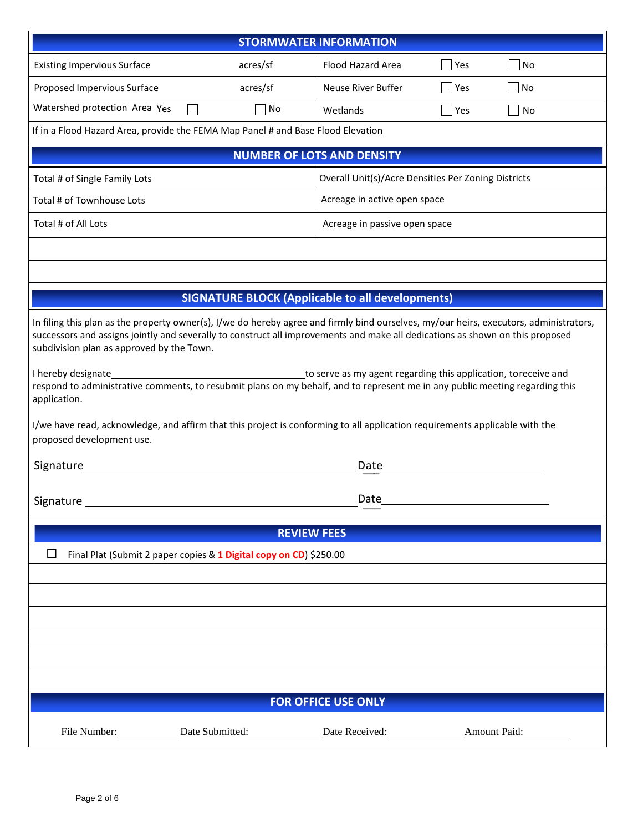| <b>STORMWATER INFORMATION</b>                                                                                                                                                                                                                                                                                                                                                                                                                                                                                                                                                                                                                                                                                                                 |                                                         |                                   |             |  |
|-----------------------------------------------------------------------------------------------------------------------------------------------------------------------------------------------------------------------------------------------------------------------------------------------------------------------------------------------------------------------------------------------------------------------------------------------------------------------------------------------------------------------------------------------------------------------------------------------------------------------------------------------------------------------------------------------------------------------------------------------|---------------------------------------------------------|-----------------------------------|-------------|--|
| <b>Existing Impervious Surface</b>                                                                                                                                                                                                                                                                                                                                                                                                                                                                                                                                                                                                                                                                                                            | acres/sf                                                | Flood Hazard Area                 | No<br>Yes   |  |
| Proposed Impervious Surface                                                                                                                                                                                                                                                                                                                                                                                                                                                                                                                                                                                                                                                                                                                   | acres/sf                                                | Neuse River Buffer                | No<br>  Yes |  |
| Watershed protection Area Yes                                                                                                                                                                                                                                                                                                                                                                                                                                                                                                                                                                                                                                                                                                                 | No                                                      | Wetlands                          | Yes<br>No   |  |
| If in a Flood Hazard Area, provide the FEMA Map Panel # and Base Flood Elevation                                                                                                                                                                                                                                                                                                                                                                                                                                                                                                                                                                                                                                                              |                                                         |                                   |             |  |
|                                                                                                                                                                                                                                                                                                                                                                                                                                                                                                                                                                                                                                                                                                                                               |                                                         | <b>NUMBER OF LOTS AND DENSITY</b> |             |  |
| Overall Unit(s)/Acre Densities Per Zoning Districts<br>Total # of Single Family Lots                                                                                                                                                                                                                                                                                                                                                                                                                                                                                                                                                                                                                                                          |                                                         |                                   |             |  |
| Total # of Townhouse Lots                                                                                                                                                                                                                                                                                                                                                                                                                                                                                                                                                                                                                                                                                                                     | Acreage in active open space                            |                                   |             |  |
| Total # of All Lots                                                                                                                                                                                                                                                                                                                                                                                                                                                                                                                                                                                                                                                                                                                           |                                                         | Acreage in passive open space     |             |  |
|                                                                                                                                                                                                                                                                                                                                                                                                                                                                                                                                                                                                                                                                                                                                               |                                                         |                                   |             |  |
|                                                                                                                                                                                                                                                                                                                                                                                                                                                                                                                                                                                                                                                                                                                                               |                                                         |                                   |             |  |
|                                                                                                                                                                                                                                                                                                                                                                                                                                                                                                                                                                                                                                                                                                                                               | <b>SIGNATURE BLOCK (Applicable to all developments)</b> |                                   |             |  |
| In filing this plan as the property owner(s), I/we do hereby agree and firmly bind ourselves, my/our heirs, executors, administrators,<br>successors and assigns jointly and severally to construct all improvements and make all dedications as shown on this proposed<br>subdivision plan as approved by the Town.<br>I hereby designate<br>to serve as my agent regarding this application, toreceive and<br>respond to administrative comments, to resubmit plans on my behalf, and to represent me in any public meeting regarding this<br>application.<br>I/we have read, acknowledge, and affirm that this project is conforming to all application requirements applicable with the<br>proposed development use.<br>Signature<br>Date |                                                         |                                   |             |  |
| <b>Date</b><br>Signature                                                                                                                                                                                                                                                                                                                                                                                                                                                                                                                                                                                                                                                                                                                      |                                                         |                                   |             |  |
|                                                                                                                                                                                                                                                                                                                                                                                                                                                                                                                                                                                                                                                                                                                                               | <b>REVIEW FEES</b>                                      |                                   |             |  |
| $\Box$<br>Final Plat (Submit 2 paper copies & 1 Digital copy on CD) \$250.00                                                                                                                                                                                                                                                                                                                                                                                                                                                                                                                                                                                                                                                                  |                                                         |                                   |             |  |
|                                                                                                                                                                                                                                                                                                                                                                                                                                                                                                                                                                                                                                                                                                                                               |                                                         |                                   |             |  |
|                                                                                                                                                                                                                                                                                                                                                                                                                                                                                                                                                                                                                                                                                                                                               |                                                         |                                   |             |  |
|                                                                                                                                                                                                                                                                                                                                                                                                                                                                                                                                                                                                                                                                                                                                               |                                                         |                                   |             |  |
|                                                                                                                                                                                                                                                                                                                                                                                                                                                                                                                                                                                                                                                                                                                                               |                                                         |                                   |             |  |
|                                                                                                                                                                                                                                                                                                                                                                                                                                                                                                                                                                                                                                                                                                                                               |                                                         |                                   |             |  |
| <b>FOR OFFICE USE ONLY</b>                                                                                                                                                                                                                                                                                                                                                                                                                                                                                                                                                                                                                                                                                                                    |                                                         |                                   |             |  |
|                                                                                                                                                                                                                                                                                                                                                                                                                                                                                                                                                                                                                                                                                                                                               |                                                         |                                   |             |  |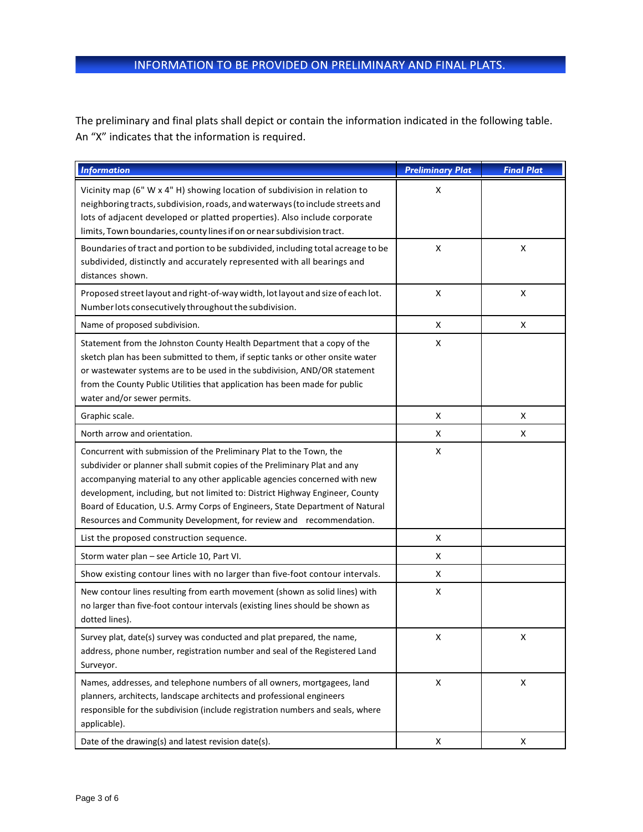The preliminary and final plats shall depict or contain the information indicated in the following table. An "X" indicates that the information is required.

| <b>Information</b>                                                                                                                                                                                                                                                                                                                                                                                                                                                     | <b>Preliminary Plat</b> | <b>Final Plat</b> |
|------------------------------------------------------------------------------------------------------------------------------------------------------------------------------------------------------------------------------------------------------------------------------------------------------------------------------------------------------------------------------------------------------------------------------------------------------------------------|-------------------------|-------------------|
| Vicinity map (6" W x 4" H) showing location of subdivision in relation to<br>neighboring tracts, subdivision, roads, and waterways (to include streets and<br>lots of adjacent developed or platted properties). Also include corporate<br>limits, Town boundaries, county lines if on or near subdivision tract.                                                                                                                                                      | X                       |                   |
| Boundaries of tract and portion to be subdivided, including total acreage to be<br>subdivided, distinctly and accurately represented with all bearings and<br>distances shown.                                                                                                                                                                                                                                                                                         | X                       | X                 |
| Proposed street layout and right-of-way width, lot layout and size of each lot.<br>Number lots consecutively throughout the subdivision.                                                                                                                                                                                                                                                                                                                               | X                       | X                 |
| Name of proposed subdivision.                                                                                                                                                                                                                                                                                                                                                                                                                                          | X                       | X                 |
| Statement from the Johnston County Health Department that a copy of the<br>sketch plan has been submitted to them, if septic tanks or other onsite water<br>or wastewater systems are to be used in the subdivision, AND/OR statement<br>from the County Public Utilities that application has been made for public<br>water and/or sewer permits.                                                                                                                     | x                       |                   |
| Graphic scale.                                                                                                                                                                                                                                                                                                                                                                                                                                                         | x                       | X                 |
| North arrow and orientation.                                                                                                                                                                                                                                                                                                                                                                                                                                           | x                       | X                 |
| Concurrent with submission of the Preliminary Plat to the Town, the<br>subdivider or planner shall submit copies of the Preliminary Plat and any<br>accompanying material to any other applicable agencies concerned with new<br>development, including, but not limited to: District Highway Engineer, County<br>Board of Education, U.S. Army Corps of Engineers, State Department of Natural<br>Resources and Community Development, for review and recommendation. | X                       |                   |
| List the proposed construction sequence.                                                                                                                                                                                                                                                                                                                                                                                                                               | X                       |                   |
| Storm water plan - see Article 10, Part VI.                                                                                                                                                                                                                                                                                                                                                                                                                            | x                       |                   |
| Show existing contour lines with no larger than five-foot contour intervals.                                                                                                                                                                                                                                                                                                                                                                                           | X                       |                   |
| New contour lines resulting from earth movement (shown as solid lines) with<br>no larger than five-foot contour intervals (existing lines should be shown as<br>dotted lines).                                                                                                                                                                                                                                                                                         | x                       |                   |
| Survey plat, date(s) survey was conducted and plat prepared, the name,<br>address, phone number, registration number and seal of the Registered Land<br>Surveyor.                                                                                                                                                                                                                                                                                                      | x                       | X                 |
| Names, addresses, and telephone numbers of all owners, mortgagees, land<br>planners, architects, landscape architects and professional engineers<br>responsible for the subdivision (include registration numbers and seals, where<br>applicable).                                                                                                                                                                                                                     | X                       | X                 |
| Date of the drawing(s) and latest revision date(s).                                                                                                                                                                                                                                                                                                                                                                                                                    | X                       | X                 |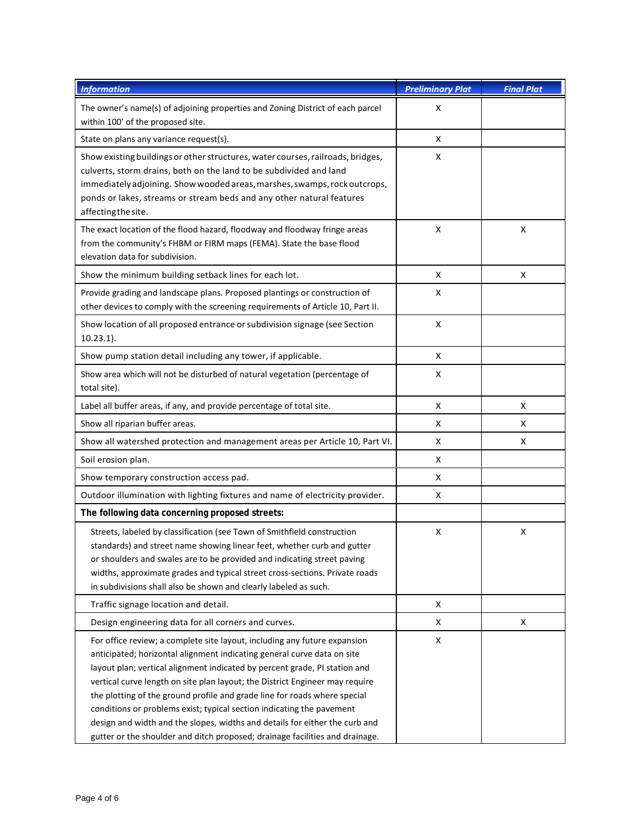| <b>Information</b>                                                                                                                                                                                                                                                                                                                                                                                                                                                                                                                                                                                                                      | <b>Preliminary Plat</b> | <b>Final Plat</b> |
|-----------------------------------------------------------------------------------------------------------------------------------------------------------------------------------------------------------------------------------------------------------------------------------------------------------------------------------------------------------------------------------------------------------------------------------------------------------------------------------------------------------------------------------------------------------------------------------------------------------------------------------------|-------------------------|-------------------|
| The owner's name(s) of adjoining properties and Zoning District of each parcel<br>within 100' of the proposed site.                                                                                                                                                                                                                                                                                                                                                                                                                                                                                                                     | X                       |                   |
| State on plans any variance request(s).                                                                                                                                                                                                                                                                                                                                                                                                                                                                                                                                                                                                 | X                       |                   |
| Show existing buildings or other structures, water courses, railroads, bridges,<br>culverts, storm drains, both on the land to be subdivided and land<br>immediately adjoining. Show wooded areas, marshes, swamps, rock outcrops,<br>ponds or lakes, streams or stream beds and any other natural features<br>affecting the site.                                                                                                                                                                                                                                                                                                      | X                       |                   |
| The exact location of the flood hazard, floodway and floodway fringe areas<br>from the community's FHBM or FIRM maps (FEMA). State the base flood<br>elevation data for subdivision.                                                                                                                                                                                                                                                                                                                                                                                                                                                    | X                       | X                 |
| Show the minimum building setback lines for each lot.                                                                                                                                                                                                                                                                                                                                                                                                                                                                                                                                                                                   | X                       | X                 |
| Provide grading and landscape plans. Proposed plantings or construction of<br>other devices to comply with the screening requirements of Article 10, Part II.                                                                                                                                                                                                                                                                                                                                                                                                                                                                           | X                       |                   |
| Show location of all proposed entrance or subdivision signage (see Section<br>$10.23.1$ ).                                                                                                                                                                                                                                                                                                                                                                                                                                                                                                                                              | X                       |                   |
| Show pump station detail including any tower, if applicable.                                                                                                                                                                                                                                                                                                                                                                                                                                                                                                                                                                            | X                       |                   |
| Show area which will not be disturbed of natural vegetation (percentage of<br>total site).                                                                                                                                                                                                                                                                                                                                                                                                                                                                                                                                              | X                       |                   |
| Label all buffer areas, if any, and provide percentage of total site.                                                                                                                                                                                                                                                                                                                                                                                                                                                                                                                                                                   | X                       | X                 |
| Show all riparian buffer areas.                                                                                                                                                                                                                                                                                                                                                                                                                                                                                                                                                                                                         | X                       | x                 |
| Show all watershed protection and management areas per Article 10, Part VI.                                                                                                                                                                                                                                                                                                                                                                                                                                                                                                                                                             | X                       | X                 |
| Soil erosion plan.                                                                                                                                                                                                                                                                                                                                                                                                                                                                                                                                                                                                                      | X                       |                   |
| Show temporary construction access pad.                                                                                                                                                                                                                                                                                                                                                                                                                                                                                                                                                                                                 | X                       |                   |
| Outdoor illumination with lighting fixtures and name of electricity provider.                                                                                                                                                                                                                                                                                                                                                                                                                                                                                                                                                           | X                       |                   |
| The following data concerning proposed streets:                                                                                                                                                                                                                                                                                                                                                                                                                                                                                                                                                                                         |                         |                   |
| Streets, labeled by classification (see Town of Smithfield construction<br>standards) and street name showing linear feet, whether curb and gutter<br>or shoulders and swales are to be provided and indicating street paving<br>widths, approximate grades and typical street cross-sections. Private roads<br>in subdivisions shall also be shown and clearly labeled as such.                                                                                                                                                                                                                                                        | X                       | X                 |
| Traffic signage location and detail.                                                                                                                                                                                                                                                                                                                                                                                                                                                                                                                                                                                                    | X                       |                   |
| Design engineering data for all corners and curves.                                                                                                                                                                                                                                                                                                                                                                                                                                                                                                                                                                                     | X                       | X                 |
| For office review; a complete site layout, including any future expansion<br>anticipated; horizontal alignment indicating general curve data on site<br>layout plan; vertical alignment indicated by percent grade, PI station and<br>vertical curve length on site plan layout; the District Engineer may require<br>the plotting of the ground profile and grade line for roads where special<br>conditions or problems exist; typical section indicating the pavement<br>design and width and the slopes, widths and details for either the curb and<br>gutter or the shoulder and ditch proposed; drainage facilities and drainage. | X                       |                   |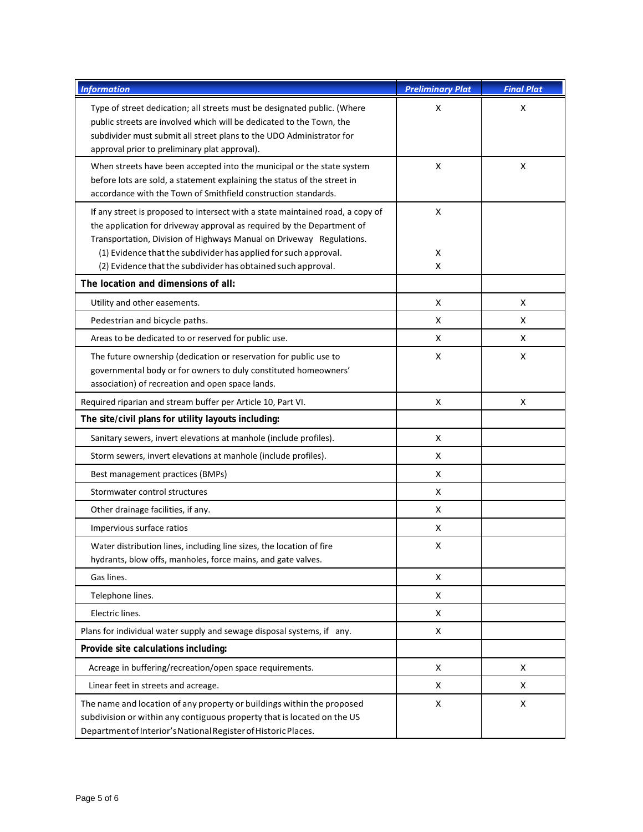| <b>Information</b>                                                                                                                                                                                                                                                                                                                                                  | <b>Preliminary Plat</b> | <b>Final Plat</b> |
|---------------------------------------------------------------------------------------------------------------------------------------------------------------------------------------------------------------------------------------------------------------------------------------------------------------------------------------------------------------------|-------------------------|-------------------|
| Type of street dedication; all streets must be designated public. (Where<br>public streets are involved which will be dedicated to the Town, the<br>subdivider must submit all street plans to the UDO Administrator for<br>approval prior to preliminary plat approval).                                                                                           | X                       | X                 |
| When streets have been accepted into the municipal or the state system<br>before lots are sold, a statement explaining the status of the street in<br>accordance with the Town of Smithfield construction standards.                                                                                                                                                | X                       | X                 |
| If any street is proposed to intersect with a state maintained road, a copy of<br>the application for driveway approval as required by the Department of<br>Transportation, Division of Highways Manual on Driveway Regulations.<br>(1) Evidence that the subdivider has applied for such approval.<br>(2) Evidence that the subdivider has obtained such approval. | Χ<br>X<br>X             |                   |
| The location and dimensions of all:                                                                                                                                                                                                                                                                                                                                 |                         |                   |
| Utility and other easements.                                                                                                                                                                                                                                                                                                                                        | X                       | X                 |
| Pedestrian and bicycle paths.                                                                                                                                                                                                                                                                                                                                       | X                       | X                 |
| Areas to be dedicated to or reserved for public use.                                                                                                                                                                                                                                                                                                                | X                       | X                 |
| The future ownership (dedication or reservation for public use to<br>governmental body or for owners to duly constituted homeowners'<br>association) of recreation and open space lands.                                                                                                                                                                            | X                       | X                 |
| Required riparian and stream buffer per Article 10, Part VI.                                                                                                                                                                                                                                                                                                        | X                       | X                 |
| The site/civil plans for utility layouts including:                                                                                                                                                                                                                                                                                                                 |                         |                   |
| Sanitary sewers, invert elevations at manhole (include profiles).                                                                                                                                                                                                                                                                                                   | X                       |                   |
| Storm sewers, invert elevations at manhole (include profiles).                                                                                                                                                                                                                                                                                                      | x                       |                   |
| Best management practices (BMPs)                                                                                                                                                                                                                                                                                                                                    | x                       |                   |
| Stormwater control structures                                                                                                                                                                                                                                                                                                                                       | x                       |                   |
| Other drainage facilities, if any.                                                                                                                                                                                                                                                                                                                                  | X                       |                   |
| Impervious surface ratios                                                                                                                                                                                                                                                                                                                                           | x                       |                   |
| Water distribution lines, including line sizes, the location of fire<br>hydrants, blow offs, manholes, force mains, and gate valves.                                                                                                                                                                                                                                | x                       |                   |
| Gas lines.                                                                                                                                                                                                                                                                                                                                                          | X                       |                   |
| Telephone lines.                                                                                                                                                                                                                                                                                                                                                    | X                       |                   |
| Electric lines.                                                                                                                                                                                                                                                                                                                                                     | x                       |                   |
| Plans for individual water supply and sewage disposal systems, if any.                                                                                                                                                                                                                                                                                              | X                       |                   |
| Provide site calculations including:                                                                                                                                                                                                                                                                                                                                |                         |                   |
| Acreage in buffering/recreation/open space requirements.                                                                                                                                                                                                                                                                                                            | X                       | X                 |
| Linear feet in streets and acreage.                                                                                                                                                                                                                                                                                                                                 | X                       | X                 |
| The name and location of any property or buildings within the proposed<br>subdivision or within any contiguous property that is located on the US<br>Department of Interior's National Register of Historic Places.                                                                                                                                                 | X                       | X                 |